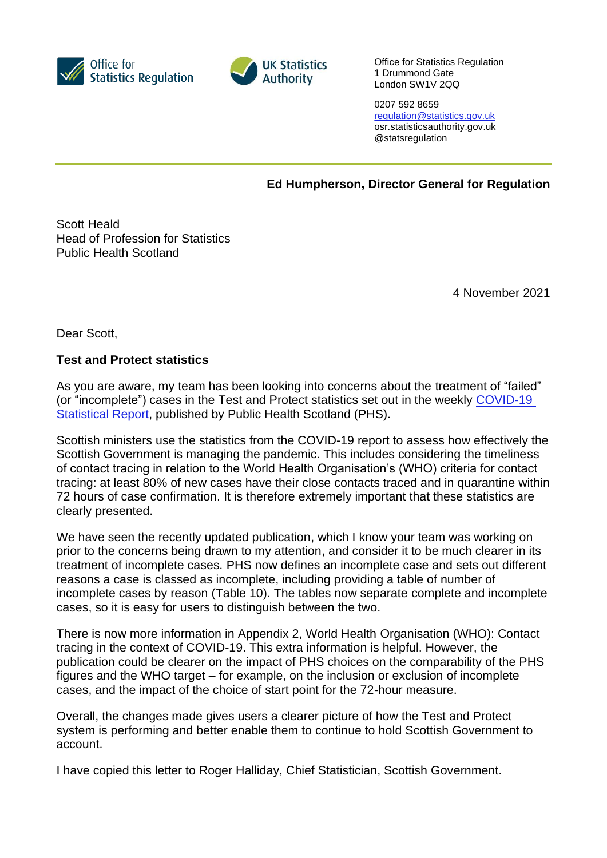



Office for Statistics Regulation 1 Drummond Gate London SW1V 2QQ

0207 592 8659 [regulation@statistics.gov.uk](mailto:E:%E2%80%82regulation@statistics.gov.uk) osr.statisticsauthority.gov.uk @statsregulation

**Ed Humpherson, Director General for Regulation**

Scott Heald Head of Profession for Statistics Public Health Scotland

4 November 2021

Dear Scott,

## **Test and Protect statistics**

As you are aware, my team has been looking into concerns about the treatment of "failed" (or "incomplete") cases in the Test and Protect statistics set out in the weekly [COVID-19](https://publichealthscotland.scot/publications/show-all-releases?id=20580)  [Statistical Report,](https://publichealthscotland.scot/publications/show-all-releases?id=20580) published by Public Health Scotland (PHS).

Scottish ministers use the statistics from the COVID-19 report to assess how effectively the Scottish Government is managing the pandemic. This includes considering the timeliness of contact tracing in relation to the World Health Organisation's (WHO) criteria for contact tracing: at least 80% of new cases have their close contacts traced and in quarantine within 72 hours of case confirmation. It is therefore extremely important that these statistics are clearly presented.

We have seen the recently updated publication, which I know your team was working on prior to the concerns being drawn to my attention, and consider it to be much clearer in its treatment of incomplete cases. PHS now defines an incomplete case and sets out different reasons a case is classed as incomplete, including providing a table of number of incomplete cases by reason (Table 10). The tables now separate complete and incomplete cases, so it is easy for users to distinguish between the two.

There is now more information in Appendix 2, World Health Organisation (WHO): Contact tracing in the context of COVID-19. This extra information is helpful. However, the publication could be clearer on the impact of PHS choices on the comparability of the PHS figures and the WHO target – for example, on the inclusion or exclusion of incomplete cases, and the impact of the choice of start point for the 72-hour measure.

Overall, the changes made gives users a clearer picture of how the Test and Protect system is performing and better enable them to continue to hold Scottish Government to account.

I have copied this letter to Roger Halliday, Chief Statistician, Scottish Government.